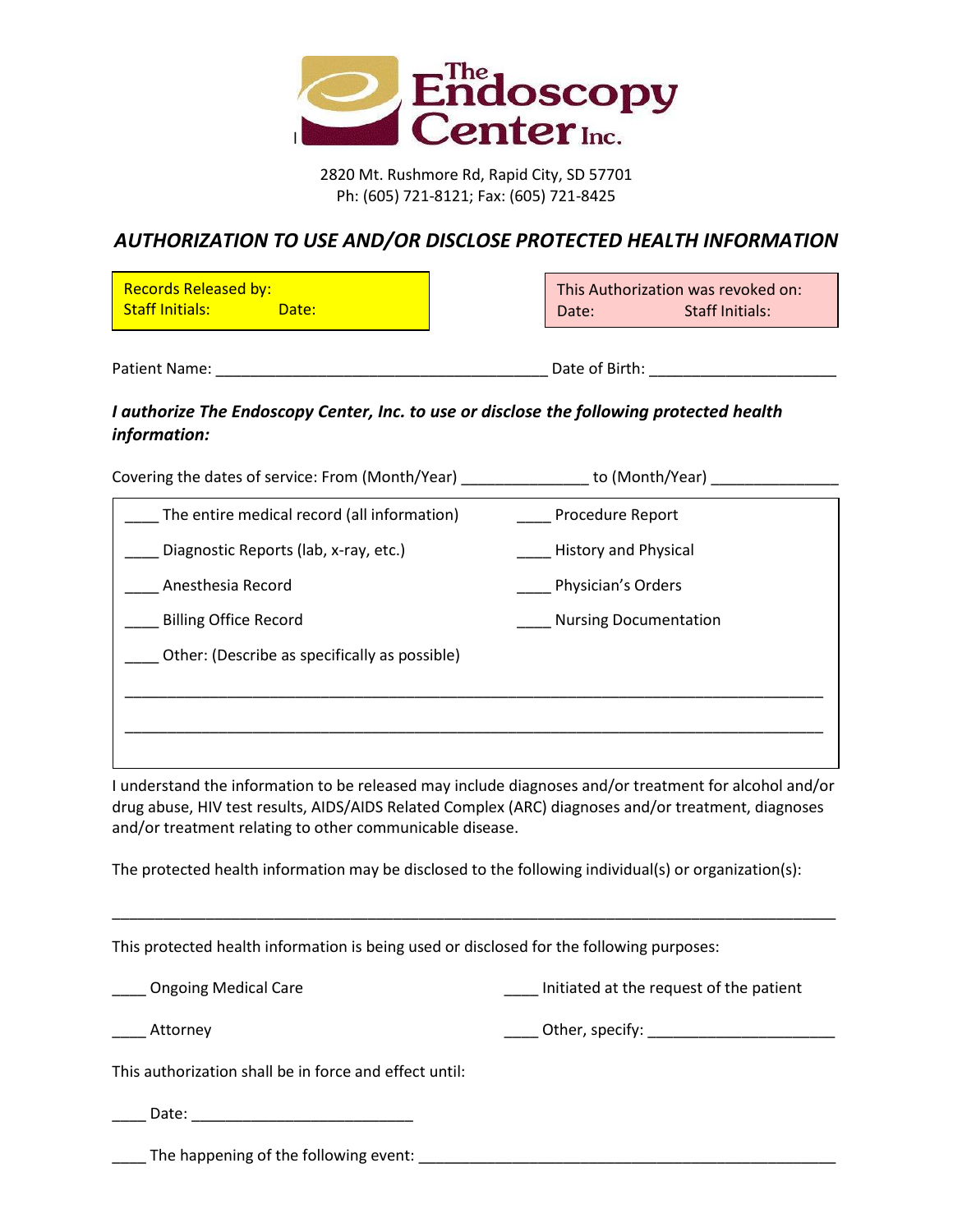

2820 Mt. Rushmore Rd, Rapid City, SD 57701 Ph: (605) 721-8121; Fax: (605) 721-8425

## *AUTHORIZATION TO USE AND/OR DISCLOSE PROTECTED HEALTH INFORMATION*

| <b>Records Released by:</b><br><b>Staff Initials:</b><br>Date: | Date:          | This Authorization was revoked on:<br>Staff Initials: |
|----------------------------------------------------------------|----------------|-------------------------------------------------------|
| Patient Name:                                                  | Date of Birth: |                                                       |

## *I authorize The Endoscopy Center, Inc. to use or disclose the following protected health information:*

Covering the dates of service: From (Month/Year) \_\_\_\_\_\_\_\_\_\_\_\_\_\_\_\_ to (Month/Year) \_\_\_\_\_\_\_\_\_\_\_\_\_\_\_\_\_

| The entire medical record (all information)   | Procedure Report             |
|-----------------------------------------------|------------------------------|
| Diagnostic Reports (lab, x-ray, etc.)         | <b>History and Physical</b>  |
| Anesthesia Record                             | Physician's Orders           |
| <b>Billing Office Record</b>                  | <b>Nursing Documentation</b> |
| Other: (Describe as specifically as possible) |                              |
|                                               |                              |
|                                               |                              |
|                                               |                              |

I understand the information to be released may include diagnoses and/or treatment for alcohol and/or drug abuse, HIV test results, AIDS/AIDS Related Complex (ARC) diagnoses and/or treatment, diagnoses and/or treatment relating to other communicable disease.

\_\_\_\_\_\_\_\_\_\_\_\_\_\_\_\_\_\_\_\_\_\_\_\_\_\_\_\_\_\_\_\_\_\_\_\_\_\_\_\_\_\_\_\_\_\_\_\_\_\_\_\_\_\_\_\_\_\_\_\_\_\_\_\_\_\_\_\_\_\_\_\_\_\_\_\_\_\_\_\_\_\_\_\_\_

The protected health information may be disclosed to the following individual(s) or organization(s):

This protected health information is being used or disclosed for the following purposes:

| _____ Ongoing Medical Care | Initiated at the request of the patient |
|----------------------------|-----------------------------------------|
|                            |                                         |

\_\_\_\_ Attorney \_\_\_\_ Other, specify: \_\_\_\_\_\_\_\_\_\_\_\_\_\_\_\_\_\_\_\_\_\_

This authorization shall be in force and effect until:

| ימ <del>ו</del> רר |  |
|--------------------|--|
|                    |  |

\_\_\_\_ The happening of the following event: \_\_\_\_\_\_\_\_\_\_\_\_\_\_\_\_\_\_\_\_\_\_\_\_\_\_\_\_\_\_\_\_\_\_\_\_\_\_\_\_\_\_\_\_\_\_\_\_\_